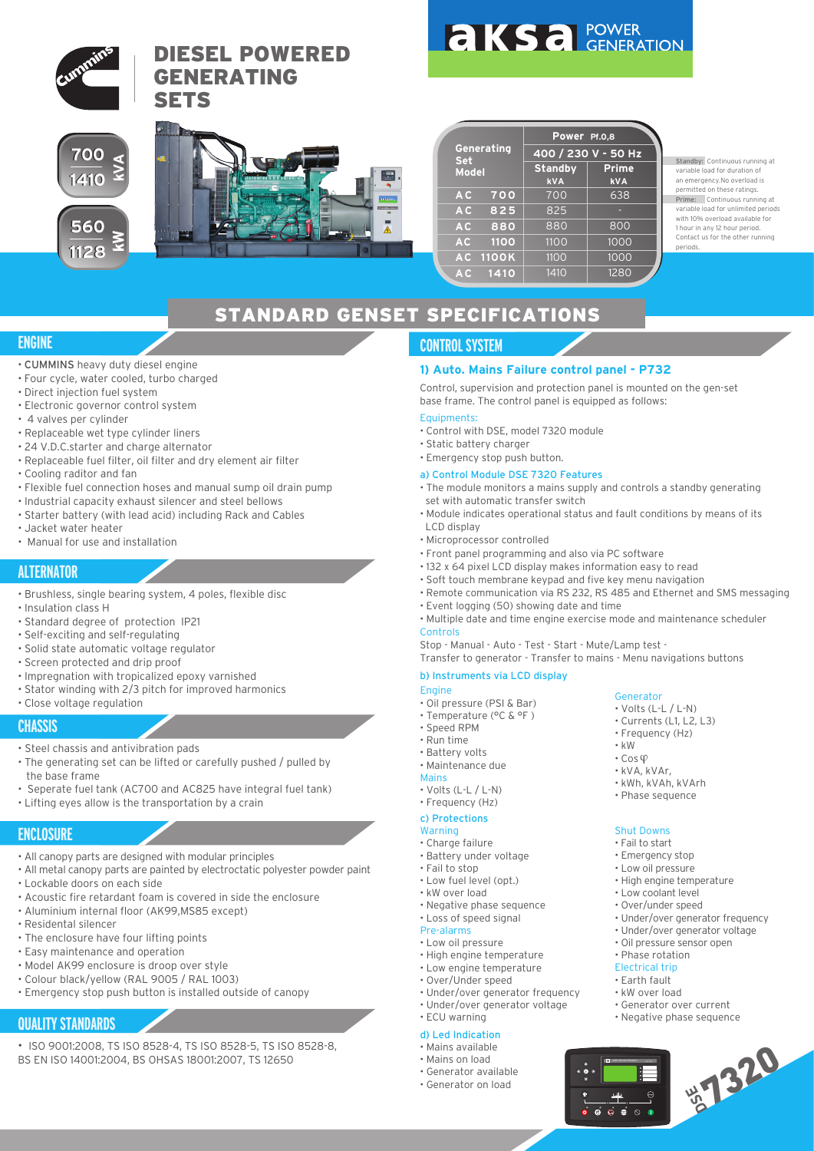

Standby: Continuous running at variable load for duration of an emergency.No overload is permitted on these ratings. Prime: Continuous running at variable load for unlimited periods with 10% overload available for 1 hour in any 12 hour period. Contact us for the other running periods.

# STANDARD GENSET SPECIFICATIONS

## **ENGINE**

- CUMMINS heavy duty diesel engine
- Four cycle, water cooled, turbo charged
- Direct injection fuel system
- Electronic governor control system
- 4 valves per cylinder
- Replaceable wet type cylinder liners
- 24 V.D.C.starter and charge alternator
- Replaceable fuel filter, oil filter and dry element air filter
- Cooling raditor and fan
- Flexible fuel connection hoses and manual sump oil drain pump
- Industrial capacity exhaust silencer and steel bellows
- Starter battery (with lead acid) including Rack and Cables
- Jacket water heater
- Manual for use and installation

# **ALTERNATOR**

- Brushless, single bearing system, 4 poles, flexible disc
- Insulation class H
- Standard degree of protection IP21
- Self-exciting and self-regulating
- Solid state automatic voltage regulator
- Screen protected and drip proof
- Impregnation with tropicalized epoxy varnished
- Stator winding with 2/3 pitch for improved harmonics
- Close voltage regulation

#### **CHASSIS**

- Steel chassis and antivibration pads
- The generating set can be lifted or carefully pushed / pulled by the base frame
- Seperate fuel tank (AC700 and AC825 have integral fuel tank)
- Lifting eyes allow is the transportation by a crain

### **ENCLOSURE**

- All canopy parts are designed with modular principles
- All metal canopy parts are painted by electroctatic polyester powder paint
- Lockable doors on each side
- Acoustic fire retardant foam is covered in side the enclosure
- Aluminium internal floor (AK99,MS85 except)
- Residental silencer
- The enclosure have four lifting points
- Easy maintenance and operation
- Model AK99 enclosure is droop over style
- Colour black/yellow (RAL 9005 / RAL 1003)
- Emergency stop push button is installed outside of canopy

# **QUALITY STANDARDS**

- ISO 9001:2008, TS ISO 8528-4, TS ISO 8528-5, TS ISO 8528-8,
- BS EN ISO 14001:2004, BS OHSAS 18001:2007, TS 12650

# **CONTROL SYSTEM**

#### **1) Auto. Mains Failure control panel - P732**

Control, supervision and protection panel is mounted on the gen-set base frame. The control panel is equipped as follows:

#### Equipments:

- Control with DSE, model 7320 module
- Static battery charger
- Emergency stop push button.
- a) Control Module DSE 7320 Features
- The module monitors a mains supply and controls a standby generating set with automatic transfer switch
- Module indicates operational status and fault conditions by means of its LCD display
- Microprocessor controlled
- Front panel programming and also via PC software
- 132 x 64 pixel LCD display makes information easy to read
- Soft touch membrane keypad and five key menu navigation
- Remote communication via RS 232, RS 485 and Ethernet and SMS messaging
- Event logging (50) showing date and time
- Multiple date and time engine exercise mode and maintenance scheduler Controls

Stop - Manual - Auto - Test - Start - Mute/Lamp test -

Transfer to generator - Transfer to mains - Menu navigations buttons

#### b) Instruments via LCD display

- Engine
- Oil pressure (PSI & Bar)
- Temperature (°C & °F )
- Speed RPM
- Run time
- Battery volts • Maintenance due

#### Mains

- 
- Volts (L-L / L-N) • Frequency (Hz)
- 

#### c) Protections Warning

- Charge failure
- Battery under voltage
- Fail to stop
- Low fuel level (opt.)
- kW over load
- Negative phase sequence
- Loss of speed signal
- Pre-alarms
	- Low oil pressure
	- High engine temperature
	- Low engine temperature
	- Over/Under speed
	- Under/over generator frequency
	- Under/over generator voltage
	- ECU warning

## d) Led Indication

- Mains available • Mains on load
- Generator available
- 
- Generator on load



• kW  $\cdot$  Cos $\circ$ • kVA, kVAr, • kWh, kVAh, kVArh • Phase sequence

 $\overline{a}$  $\overline{a}$  $\overline{a}$ 

DEEP SEA ELECTRONICS DEEP

• Frequency (Hz)

Shut Downs • Fail to start • Emergency stop • Low oil pressure • High engine temperature • Low coolant level • Over/under speed

• Under/over generator frequency • Under/over generator voltage • Oil pressure sensor open • Phase rotation Electrical trip • Earth fault • kW over load • Generator over current • Negative phase sequence